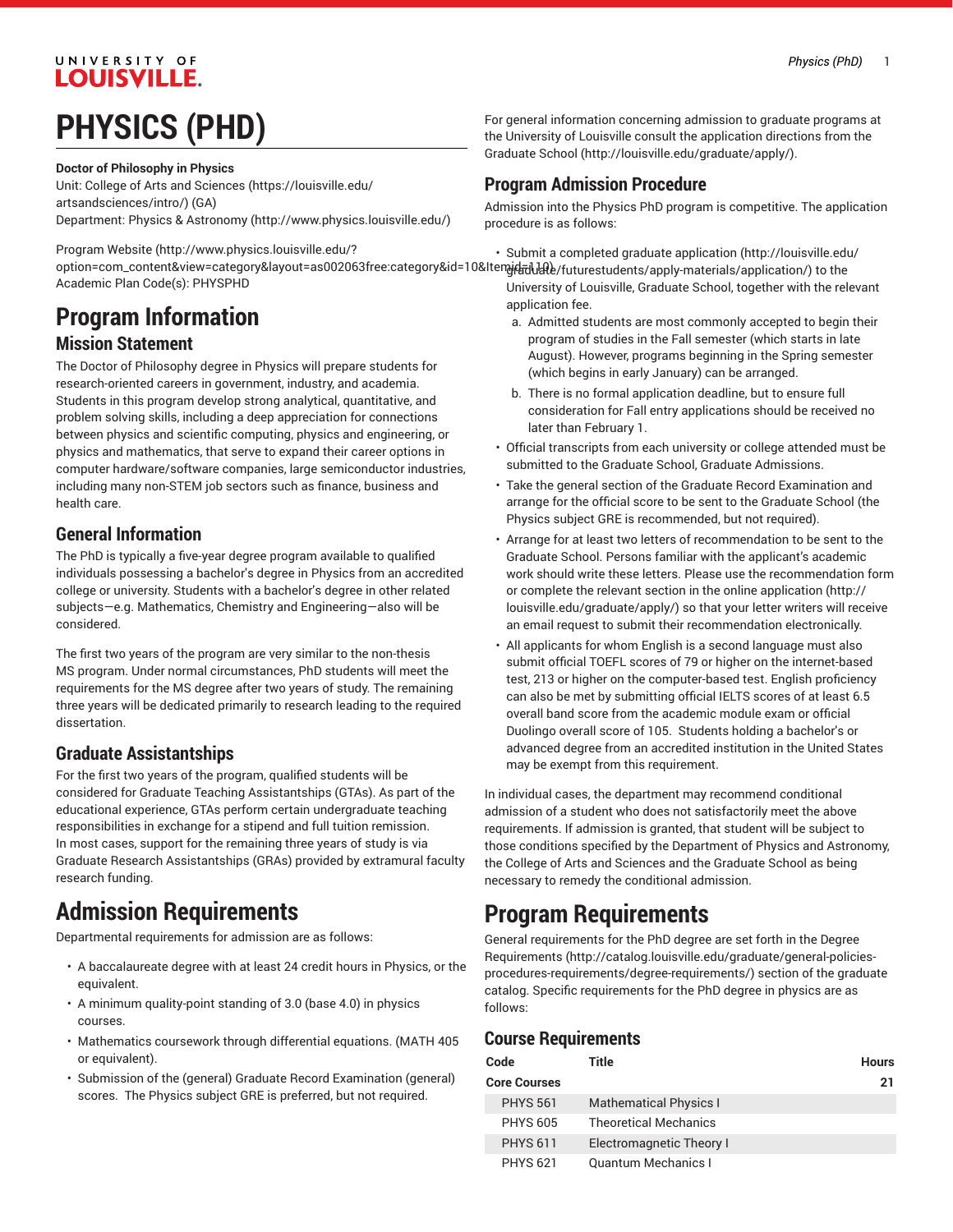### UNIVERSITY OF **LOUISVILLE.**

# **PHYSICS (PHD)**

**Doctor of Philosophy in Physics**

Unit: College of Arts and [Sciences \(https://louisville.edu/](https://louisville.edu/artsandsciences/intro/) [artsandsciences/intro/\)](https://louisville.edu/artsandsciences/intro/) (GA) Department: Physics & [Astronomy](http://www.physics.louisville.edu/) (<http://www.physics.louisville.edu/>)

[Program](http://www.physics.louisville.edu/?option=com_content&view=category&layout=as002063free:category&id=10&Itemid=110) Website [\(http://www.physics.louisville.edu/?](http://www.physics.louisville.edu/?option=com_content&view=category&layout=as002063free:category&id=10&Itemid=110) option=com\_content&view=category&layout=as002063free:category&id=10&Itenviet=idents/apply-materials/application/) to the Academic Plan Code(s): PHYSPHD

# **Program Information**

### **Mission Statement**

The Doctor of Philosophy degree in Physics will prepare students for research-oriented careers in government, industry, and academia. Students in this program develop strong analytical, quantitative, and problem solving skills, including a deep appreciation for connections between physics and scientific computing, physics and engineering, or physics and mathematics, that serve to expand their career options in computer hardware/software companies, large semiconductor industries, including many non-STEM job sectors such as finance, business and health care.

### **General Information**

The PhD is typically a five-year degree program available to qualified individuals possessing a bachelor's degree in Physics from an accredited college or university. Students with a bachelor's degree in other related subjects—e.g. Mathematics, Chemistry and Engineering—also will be considered.

The first two years of the program are very similar to the non-thesis MS program. Under normal circumstances, PhD students will meet the requirements for the MS degree after two years of study. The remaining three years will be dedicated primarily to research leading to the required dissertation.

### **Graduate Assistantships**

For the first two years of the program, qualified students will be considered for Graduate Teaching Assistantships (GTAs). As part of the educational experience, GTAs perform certain undergraduate teaching responsibilities in exchange for a stipend and full tuition remission. In most cases, support for the remaining three years of study is via Graduate Research Assistantships (GRAs) provided by extramural faculty research funding.

## **Admission Requirements**

Departmental requirements for admission are as follows:

- A baccalaureate degree with at least 24 credit hours in Physics, or the equivalent.
- A minimum quality-point standing of 3.0 (base 4.0) in physics courses.
- Mathematics coursework through differential equations. (MATH 405 or equivalent).
- Submission of the (general) Graduate Record Examination (general) scores. The Physics subject GRE is preferred, but not required.

For general information concerning admission to graduate programs at the University of Louisville consult the application directions from the [Graduate School](http://louisville.edu/graduate/apply/) ([http://louisville.edu/graduate/apply/\)](http://louisville.edu/graduate/apply/).

### **Program Admission Procedure**

Admission into the Physics PhD program is competitive. The application procedure is as follows:

• Submit a completed [graduate application \(http://louisville.edu/](http://louisville.edu/graduate/futurestudents/apply-materials/application/)

- University of Louisville, Graduate School, together with the relevant application fee.
- a. Admitted students are most commonly accepted to begin their program of studies in the Fall semester (which starts in late August). However, programs beginning in the Spring semester (which begins in early January) can be arranged.
- b. There is no formal application deadline, but to ensure full consideration for Fall entry applications should be received no later than February 1.
- Official transcripts from each university or college attended must be submitted to the Graduate School, Graduate Admissions.
- Take the general section of the Graduate Record Examination and arrange for the official score to be sent to the Graduate School (the Physics subject GRE is recommended, but not required).
- Arrange for at least two letters of recommendation to be sent to the Graduate School. Persons familiar with the applicant's academic work should write these letters. Please use the [recommendation](http://louisville.edu/graduate/apply/) form or complete the relevant section in the online [application \(http://](http://louisville.edu/graduate/apply/) [louisville.edu/graduate/apply/\)](http://louisville.edu/graduate/apply/) so that your letter writers will receive an email request to submit their recommendation electronically.
- All applicants for whom English is a second language must also submit official TOEFL scores of 79 or higher on the internet-based test, 213 or higher on the computer-based test. English proficiency can also be met by submitting official IELTS scores of at least 6.5 overall band score from the academic module exam or official Duolingo overall score of 105. Students holding a bachelor's or advanced degree from an accredited institution in the United States may be exempt from this requirement.

In individual cases, the department may recommend conditional admission of a student who does not satisfactorily meet the above requirements. If admission is granted, that student will be subject to those conditions specified by the Department of Physics and Astronomy, the College of Arts and Sciences and the Graduate School as being necessary to remedy the conditional admission.

### **Program Requirements**

General requirements for the PhD degree are set forth in the [Degree](http://catalog.louisville.edu/graduate/general-policies-procedures-requirements/degree-requirements/) [Requirements \(http://catalog.louisville.edu/graduate/general-policies](http://catalog.louisville.edu/graduate/general-policies-procedures-requirements/degree-requirements/)[procedures-requirements/degree-requirements/](http://catalog.louisville.edu/graduate/general-policies-procedures-requirements/degree-requirements/)) section of the graduate catalog. Specific requirements for the PhD degree in physics are as follows:

### **Course Requirements**

| Code                | Title                         | <b>Hours</b> |
|---------------------|-------------------------------|--------------|
| <b>Core Courses</b> |                               | 21           |
| <b>PHYS 561</b>     | <b>Mathematical Physics I</b> |              |
| <b>PHYS 605</b>     | <b>Theoretical Mechanics</b>  |              |
| <b>PHYS 611</b>     | Electromagnetic Theory I      |              |
| <b>PHYS 621</b>     | <b>Quantum Mechanics I</b>    |              |